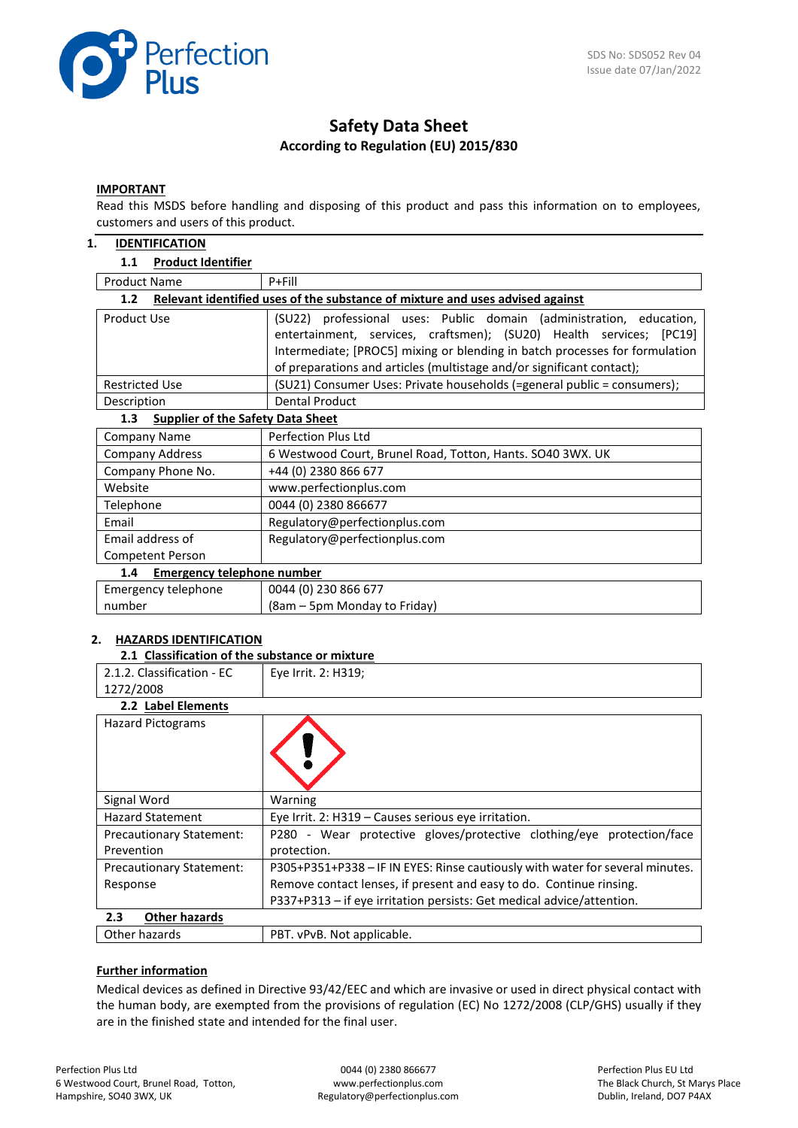

# **Safety Data Sheet According to Regulation (EU) 2015/830**

#### **IMPORTANT**

Read this MSDS before handling and disposing of this product and pass this information on to employees, customers and users of this product.

#### **1. IDENTIFICATION**

#### **1.1 Product Identifier**

| <b>Product Name</b>                                                                               | $P + Fill$                                                                                                                                 |  |  |  |
|---------------------------------------------------------------------------------------------------|--------------------------------------------------------------------------------------------------------------------------------------------|--|--|--|
| Relevant identified uses of the substance of mixture and uses advised against<br>1.2 <sub>2</sub> |                                                                                                                                            |  |  |  |
| Product Use                                                                                       | (SU22) professional uses: Public domain (administration, education,<br>entertainment, services, craftsmen); (SU20) Health services; [PC19] |  |  |  |
|                                                                                                   | Intermediate; [PROC5] mixing or blending in batch processes for formulation                                                                |  |  |  |
|                                                                                                   | of preparations and articles (multistage and/or significant contact);                                                                      |  |  |  |
| <b>Restricted Use</b>                                                                             | (SU21) Consumer Uses: Private households (=general public = consumers);                                                                    |  |  |  |
| Description                                                                                       | <b>Dental Product</b>                                                                                                                      |  |  |  |
| 1.3<br><b>Supplier of the Safety Data Sheet</b>                                                   |                                                                                                                                            |  |  |  |
| <b>Company Name</b>                                                                               | <b>Perfection Plus Ltd</b>                                                                                                                 |  |  |  |
| <b>Company Address</b>                                                                            | 6 Westwood Court, Brunel Road, Totton, Hants. SO40 3WX. UK                                                                                 |  |  |  |
| Company Phone No.                                                                                 | +44 (0) 2380 866 677                                                                                                                       |  |  |  |
| Website                                                                                           | www.perfectionplus.com                                                                                                                     |  |  |  |
| Telephone                                                                                         | 0044 (0) 2380 866677                                                                                                                       |  |  |  |
| Email                                                                                             | Regulatory@perfectionplus.com                                                                                                              |  |  |  |
| Email address of                                                                                  | Regulatory@perfectionplus.com                                                                                                              |  |  |  |
| Competent Person                                                                                  |                                                                                                                                            |  |  |  |
| <b>Emergency telephone number</b><br>1.4                                                          |                                                                                                                                            |  |  |  |
| Emergency telephone                                                                               | 0044 (0) 230 866 677                                                                                                                       |  |  |  |
| number                                                                                            | (8am – 5pm Monday to Friday)                                                                                                               |  |  |  |

#### **2. HAZARDS IDENTIFICATION**

| 2.1 Classification of the substance or mixture                                                                                                                                                                                                                                                                                                                                                                                                                               |                     |
|------------------------------------------------------------------------------------------------------------------------------------------------------------------------------------------------------------------------------------------------------------------------------------------------------------------------------------------------------------------------------------------------------------------------------------------------------------------------------|---------------------|
| 2.1.2. Classification - EC                                                                                                                                                                                                                                                                                                                                                                                                                                                   | Eye Irrit. 2: H319; |
| 1272/2008                                                                                                                                                                                                                                                                                                                                                                                                                                                                    |                     |
| 2.2 Label Elements                                                                                                                                                                                                                                                                                                                                                                                                                                                           |                     |
| <b>Hazard Pictograms</b>                                                                                                                                                                                                                                                                                                                                                                                                                                                     |                     |
| Signal Word                                                                                                                                                                                                                                                                                                                                                                                                                                                                  | Warning             |
| $\blacksquare$ The set of $\blacksquare$ $\blacksquare$ $\blacksquare$ $\blacksquare$ $\blacksquare$ $\blacksquare$ $\blacksquare$ $\blacksquare$ $\blacksquare$ $\blacksquare$ $\blacksquare$ $\blacksquare$ $\blacksquare$ $\blacksquare$ $\blacksquare$ $\blacksquare$ $\blacksquare$ $\blacksquare$ $\blacksquare$ $\blacksquare$ $\blacksquare$ $\blacksquare$ $\blacksquare$ $\blacksquare$ $\blacksquare$ $\blacksquare$ $\blacksquare$ $\blacksquare$ $\blacksquare$ |                     |

| <b>Hazard Statement</b>         | Eye Irrit. 2: H319 - Causes serious eye irritation.                           |  |  |  |
|---------------------------------|-------------------------------------------------------------------------------|--|--|--|
| <b>Precautionary Statement:</b> | - Wear protective gloves/protective clothing/eye protection/face<br>P280      |  |  |  |
| Prevention                      | protection.                                                                   |  |  |  |
| <b>Precautionary Statement:</b> | P305+P351+P338 - IF IN EYES: Rinse cautiously with water for several minutes. |  |  |  |
| Response                        | Remove contact lenses, if present and easy to do. Continue rinsing.           |  |  |  |
|                                 | P337+P313 - if eye irritation persists: Get medical advice/attention.         |  |  |  |
| <b>Other hazards</b><br>2.3     |                                                                               |  |  |  |
|                                 |                                                                               |  |  |  |

Other hazards **PBT.** vPvB. Not applicable.

#### **Further information**

Medical devices as defined in Directive 93/42/EEC and which are invasive or used in direct physical contact with the human body, are exempted from the provisions of regulation (EC) No 1272/2008 (CLP/GHS) usually if they are in the finished state and intended for the final user.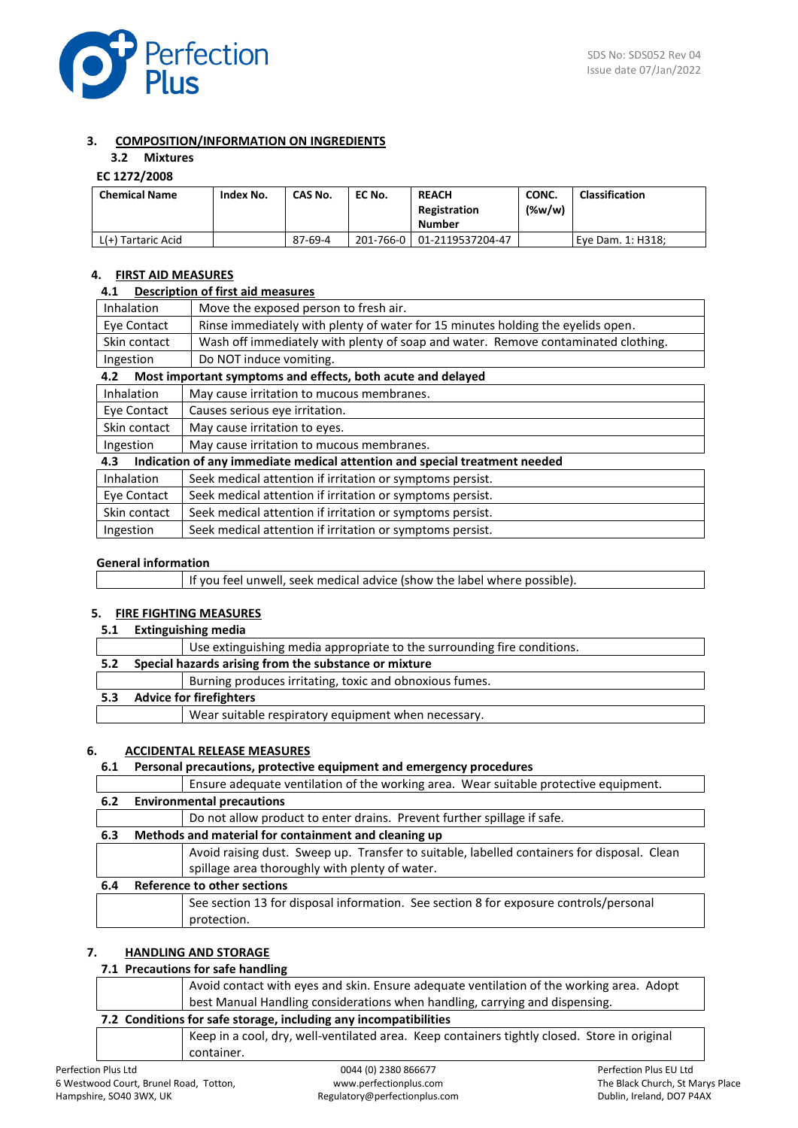

## **3. COMPOSITION/INFORMATION ON INGREDIENTS**

# **3.2 Mixtures**

# **EC 1272/2008**

| <b>Chemical Name</b> | Index No. | CAS No. | EC No.    | <b>REACH</b><br>Registration<br><b>Number</b> | CONC.<br>$(\%w/w)$ | <b>Classification</b> |
|----------------------|-----------|---------|-----------|-----------------------------------------------|--------------------|-----------------------|
| L(+) Tartaric Acid   |           | 87-69-4 | 201-766-0 | 01-2119537204-47                              |                    | Eve Dam. 1: H318:     |

## **4. FIRST AID MEASURES**

## **4.1 Description of first aid measures**

| <b>Inhalation</b>                                                                                                    | Move the exposed person to fresh air.                                             |  |  |
|----------------------------------------------------------------------------------------------------------------------|-----------------------------------------------------------------------------------|--|--|
| Eve Contact                                                                                                          | Rinse immediately with plenty of water for 15 minutes holding the eyelids open.   |  |  |
| Skin contact                                                                                                         | Wash off immediately with plenty of soap and water. Remove contaminated clothing. |  |  |
| Ingestion                                                                                                            | Do NOT induce vomiting.                                                           |  |  |
| Most important symptoms and effects, both acute and delayed<br>4.2                                                   |                                                                                   |  |  |
| .<br>the contract of the contract of the contract of the contract of the contract of the contract of the contract of |                                                                                   |  |  |

| Inhalation   | May cause irritation to mucous membranes.                                  |
|--------------|----------------------------------------------------------------------------|
| Eye Contact  | Causes serious eye irritation.                                             |
| Skin contact | May cause irritation to eyes.                                              |
| Ingestion    | May cause irritation to mucous membranes.                                  |
|              |                                                                            |
| 4.3          | Indication of any immediate medical attention and special treatment needed |
| Inhalation   | Seek medical attention if irritation or symptoms persist.                  |
| Eye Contact  | Seek medical attention if irritation or symptoms persist.                  |

| Ingestion | Seek medical attention if irritation or symptoms persist. |
|-----------|-----------------------------------------------------------|

## **General information**

|  | If you feel unwell, seek medical advice (show the label where possible). |
|--|--------------------------------------------------------------------------|
|--|--------------------------------------------------------------------------|

## **5. FIRE FIGHTING MEASURES**

**5.1 Extinguishing media**

|     | Use extinguishing media appropriate to the surrounding fire conditions. |
|-----|-------------------------------------------------------------------------|
| 5.2 | Special hazards arising from the substance or mixture                   |
|     | Burning produces irritating, toxic and obnoxious fumes.                 |
| 5.3 | <b>Advice for firefighters</b>                                          |
|     | Wear suitable respiratory equipment when necessary.                     |
|     |                                                                         |

#### **6. ACCIDENTAL RELEASE MEASURES**

## **6.1 Personal precautions, protective equipment and emergency procedures**

|     | Ensure adequate ventilation of the working area. Wear suitable protective equipment.        |
|-----|---------------------------------------------------------------------------------------------|
| 6.2 | <b>Environmental precautions</b>                                                            |
|     | Do not allow product to enter drains. Prevent further spillage if safe.                     |
| 6.3 | Methods and material for containment and cleaning up                                        |
|     | Avoid raising dust. Sweep up. Transfer to suitable, labelled containers for disposal. Clean |
|     | spillage area thoroughly with plenty of water.                                              |
| 6.4 | Reference to other sections                                                                 |
|     | See section 13 for disposal information. See section 8 for exposure controls/personal       |
|     | protection.                                                                                 |

## **7. HANDLING AND STORAGE**

## **7.1 Precautions for safe handling**

container.

|  | Avoid contact with eyes and skin. Ensure adequate ventilation of the working area. Adopt     |
|--|----------------------------------------------------------------------------------------------|
|  | best Manual Handling considerations when handling, carrying and dispensing.                  |
|  | 7.2 Conditions for safe storage, including any incompatibilities                             |
|  | Keep in a cool, dry, well-ventilated area. Keep containers tightly closed. Store in original |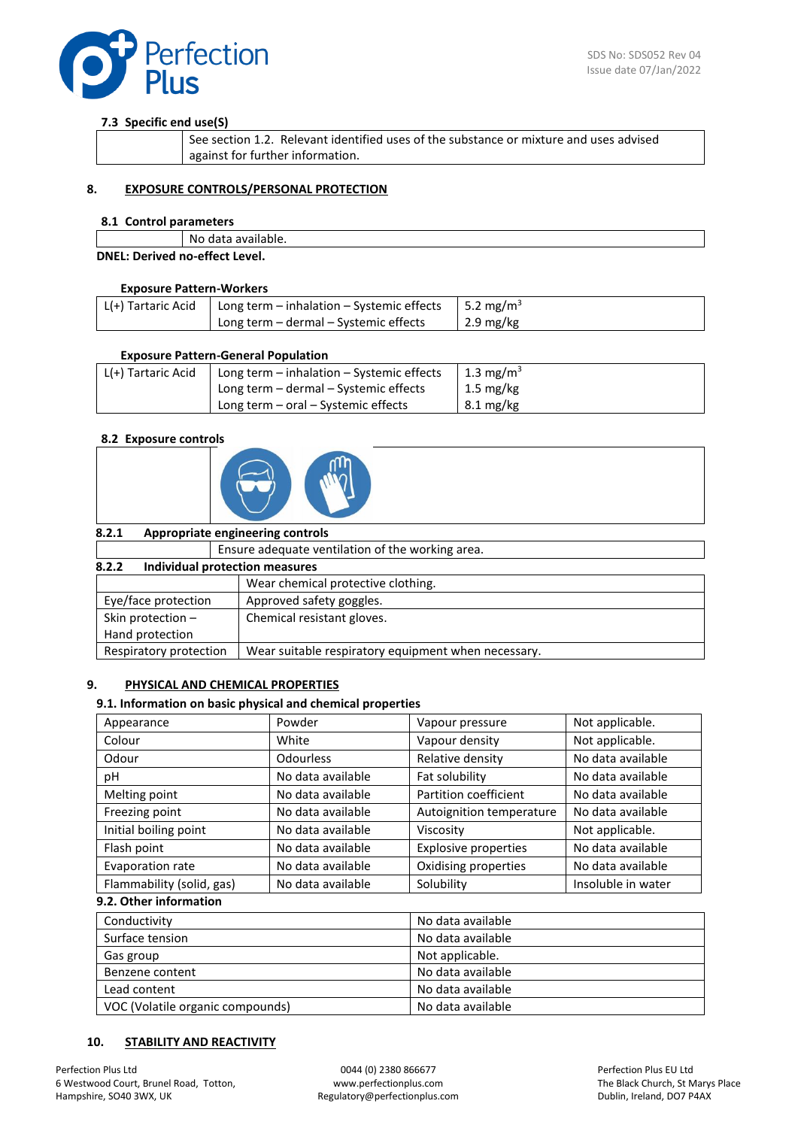

## **7.3 Specific end use(S)**

| . See section 1.2. Relevant identified uses of the substance or mixture and uses advised |
|------------------------------------------------------------------------------------------|
| against for further information.                                                         |

## **8. EXPOSURE CONTROLS/PERSONAL PROTECTION**

#### **8.1 Control parameters**

|                                | No data available. |
|--------------------------------|--------------------|
| DNEL: Derived no-effect Level. |                    |

#### **Exposure Pattern-Workers**

| L(+) Tartaric Acid   Long term – inhalation – Systemic effects   5.2 mg/m <sup>3</sup> |                                       |           |
|----------------------------------------------------------------------------------------|---------------------------------------|-----------|
|                                                                                        | Long term – dermal – Systemic effects | 2.9 mg/kg |

#### **Exposure Pattern-General Population**

| L(+) Tartaric Acid | Long term $-$ inhalation $-$ Systemic effects | 1.3 mg/m <sup>3</sup> |
|--------------------|-----------------------------------------------|-----------------------|
|                    | Long term - dermal - Systemic effects         | $1.5 \text{ mg/kg}$   |
|                    | Long term $-$ oral $-$ Systemic effects       | $8.1 \text{ mg/kg}$   |

#### **8.2 Exposure controls**



| 8.2.1                                   | Appropriate engineering controls                    |
|-----------------------------------------|-----------------------------------------------------|
|                                         | Ensure adequate ventilation of the working area.    |
| Individual protection measures<br>8.2.2 |                                                     |
|                                         | Wear chemical protective clothing.                  |
| Eye/face protection                     | Approved safety goggles.                            |
| Skin protection $-$                     | Chemical resistant gloves.                          |
| Hand protection                         |                                                     |
| Respiratory protection                  | Wear suitable respiratory equipment when necessary. |

## **9. PHYSICAL AND CHEMICAL PROPERTIES**

#### **9.1. Information on basic physical and chemical properties**

| Appearance                | Powder            | Vapour pressure             | Not applicable.    |
|---------------------------|-------------------|-----------------------------|--------------------|
| Colour                    | White             | Vapour density              | Not applicable.    |
| Odour                     | <b>Odourless</b>  | Relative density            | No data available  |
| рH                        | No data available | Fat solubility              | No data available  |
| Melting point             | No data available | Partition coefficient       | No data available  |
| Freezing point            | No data available | Autoignition temperature    | No data available  |
| Initial boiling point     | No data available | Viscosity                   | Not applicable.    |
| Flash point               | No data available | <b>Explosive properties</b> | No data available  |
| Evaporation rate          | No data available | Oxidising properties        | No data available  |
| Flammability (solid, gas) | No data available | Solubility                  | Insoluble in water |

## **9.2. Other information**

| Conductivity                     | No data available |
|----------------------------------|-------------------|
| Surface tension                  | No data available |
| Gas group                        | Not applicable.   |
| Benzene content                  | No data available |
| Lead content                     | No data available |
| VOC (Volatile organic compounds) | No data available |

## **10. STABILITY AND REACTIVITY**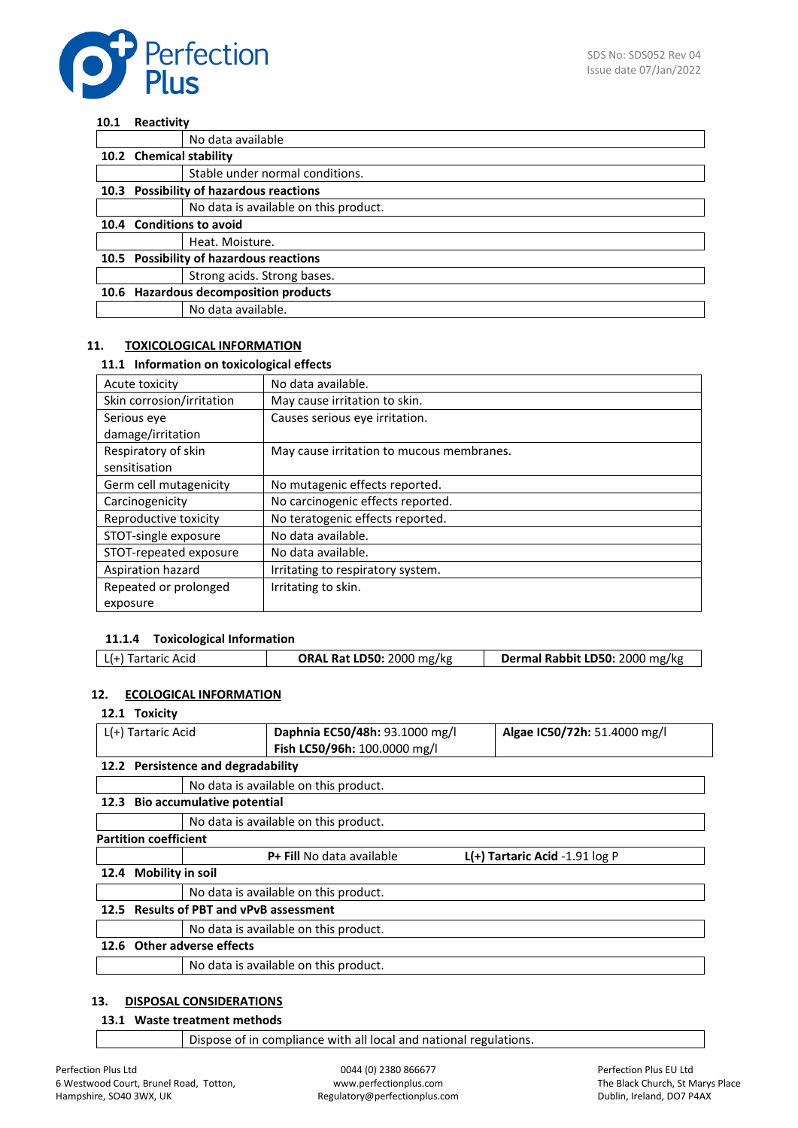

#### **10.1 Reactivity**

|                                       | No data available                       |  |
|---------------------------------------|-----------------------------------------|--|
| 10.2 Chemical stability               |                                         |  |
|                                       | Stable under normal conditions.         |  |
|                                       | 10.3 Possibility of hazardous reactions |  |
|                                       | No data is available on this product.   |  |
|                                       | 10.4 Conditions to avoid                |  |
|                                       | Heat. Moisture.                         |  |
|                                       | 10.5 Possibility of hazardous reactions |  |
|                                       | Strong acids. Strong bases.             |  |
| 10.6 Hazardous decomposition products |                                         |  |
|                                       | No data available.                      |  |

## **11. TOXICOLOGICAL INFORMATION**

#### **11.1 Information on toxicological effects**

| Acute toxicity                       | No data available.                        |
|--------------------------------------|-------------------------------------------|
| Skin corrosion/irritation            | May cause irritation to skin.             |
| Serious eye                          | Causes serious eye irritation.            |
| damage/irritation                    |                                           |
| Respiratory of skin<br>sensitisation | May cause irritation to mucous membranes. |
| Germ cell mutagenicity               | No mutagenic effects reported.            |
| Carcinogenicity                      | No carcinogenic effects reported.         |
| Reproductive toxicity                | No teratogenic effects reported.          |
| STOT-single exposure                 | No data available.                        |
| STOT-repeated exposure               | No data available.                        |
| Aspiration hazard                    | Irritating to respiratory system.         |
| Repeated or prolonged                | Irritating to skin.                       |
| exposure                             |                                           |

## **11.1.4 Toxicological Information**

## **12. ECOLOGICAL INFORMATION**

## **12.1 Toxicity**

| L(+) Tartaric Acid |                                         |                                    | Daphnia EC50/48h: 93.1000 mg/l        |  | Algae IC50/72h: 51.4000 mg/l       |
|--------------------|-----------------------------------------|------------------------------------|---------------------------------------|--|------------------------------------|
|                    |                                         |                                    | Fish LC50/96h: 100.0000 mg/l          |  |                                    |
|                    |                                         |                                    |                                       |  |                                    |
|                    |                                         | 12.2 Persistence and degradability |                                       |  |                                    |
|                    |                                         |                                    | No data is available on this product. |  |                                    |
|                    |                                         | 12.3 Bio accumulative potential    |                                       |  |                                    |
|                    |                                         |                                    | No data is available on this product. |  |                                    |
|                    | <b>Partition coefficient</b>            |                                    |                                       |  |                                    |
|                    |                                         |                                    | <b>P+ Fill No data available</b>      |  | $L(+)$ Tartaric Acid -1.91 $log P$ |
| 12.4               | <b>Mobility in soil</b>                 |                                    |                                       |  |                                    |
|                    | No data is available on this product.   |                                    |                                       |  |                                    |
|                    | 12.5 Results of PBT and vPvB assessment |                                    |                                       |  |                                    |
|                    |                                         |                                    | No data is available on this product. |  |                                    |
|                    |                                         | 12.6 Other adverse effects         |                                       |  |                                    |
|                    |                                         |                                    | No data is available on this product. |  |                                    |
|                    |                                         |                                    |                                       |  |                                    |

## **13. DISPOSAL CONSIDERATIONS**

# **13.1 Waste treatment methods**

Dispose of in compliance with all local and national regulations.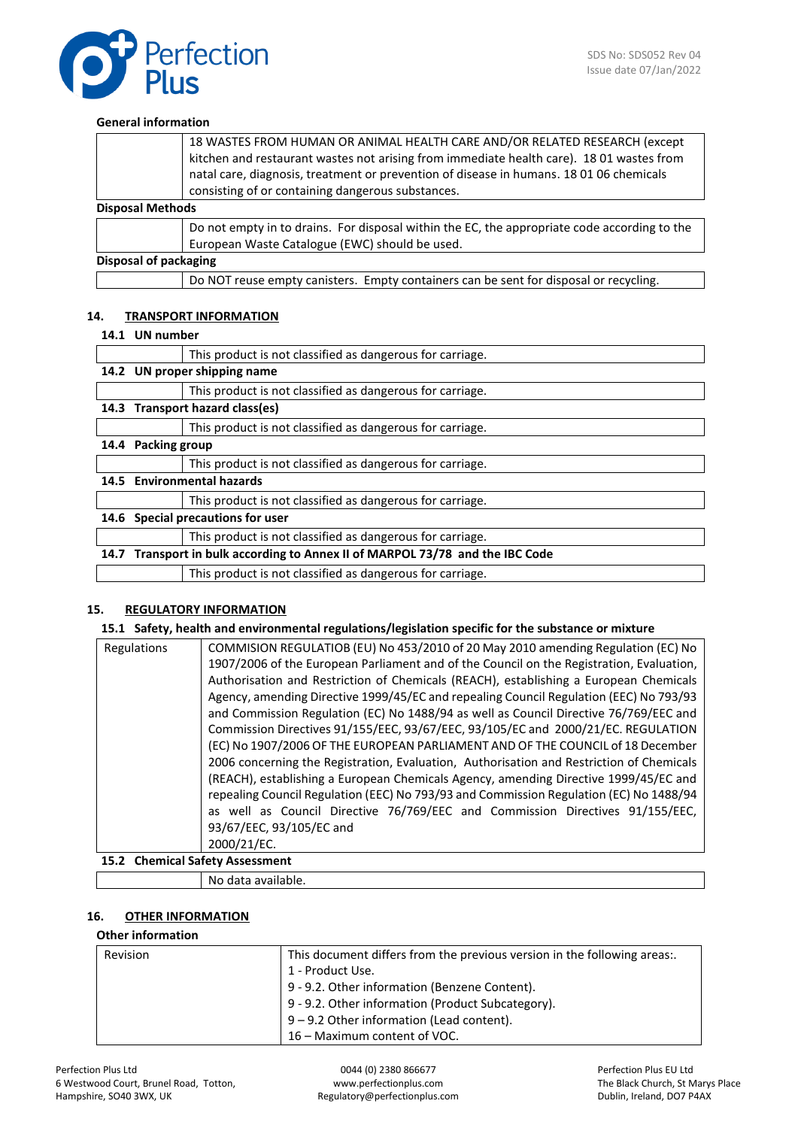

#### **General information**

|                              | 18 WASTES FROM HUMAN OR ANIMAL HEALTH CARE AND/OR RELATED RESEARCH (except<br>kitchen and restaurant wastes not arising from immediate health care). 18 01 wastes from |
|------------------------------|------------------------------------------------------------------------------------------------------------------------------------------------------------------------|
|                              | natal care, diagnosis, treatment or prevention of disease in humans. 18 01 06 chemicals                                                                                |
|                              | consisting of or containing dangerous substances.                                                                                                                      |
| <b>Disposal Methods</b>      |                                                                                                                                                                        |
|                              | Do not empty in to drains. For disposal within the EC, the appropriate code according to the                                                                           |
|                              | European Waste Catalogue (EWC) should be used.                                                                                                                         |
| <b>Disposal of packaging</b> |                                                                                                                                                                        |
|                              | Do NOT reuse empty canisters. Empty containers can be sent for disposal or recycling.                                                                                  |

#### **14. TRANSPORT INFORMATION**

#### **14.1 UN number**

|      |                      | This product is not classified as dangerous for carriage.                     |
|------|----------------------|-------------------------------------------------------------------------------|
|      |                      | 14.2 UN proper shipping name                                                  |
|      |                      | This product is not classified as dangerous for carriage.                     |
|      |                      | 14.3 Transport hazard class(es)                                               |
|      |                      | This product is not classified as dangerous for carriage.                     |
| 14.4 | <b>Packing group</b> |                                                                               |
|      |                      | This product is not classified as dangerous for carriage.                     |
|      |                      | 14.5 Environmental hazards                                                    |
|      |                      | This product is not classified as dangerous for carriage.                     |
| 14.6 |                      | Special precautions for user                                                  |
|      |                      | This product is not classified as dangerous for carriage.                     |
|      |                      | 14.7 Transport in bulk according to Annex II of MARPOL 73/78 and the IBC Code |
|      |                      | This product is not classified as dangerous for carriage.                     |

#### **15. REGULATORY INFORMATION**

#### **15.1 Safety, health and environmental regulations/legislation specific for the substance or mixture**

| Regulations                       | COMMISION REGULATIOB (EU) No 453/2010 of 20 May 2010 amending Regulation (EC) No         |  |
|-----------------------------------|------------------------------------------------------------------------------------------|--|
|                                   | 1907/2006 of the European Parliament and of the Council on the Registration, Evaluation, |  |
|                                   | Authorisation and Restriction of Chemicals (REACH), establishing a European Chemicals    |  |
|                                   | Agency, amending Directive 1999/45/EC and repealing Council Regulation (EEC) No 793/93   |  |
|                                   | and Commission Regulation (EC) No 1488/94 as well as Council Directive 76/769/EEC and    |  |
|                                   | Commission Directives 91/155/EEC, 93/67/EEC, 93/105/EC and 2000/21/EC. REGULATION        |  |
|                                   | (EC) No 1907/2006 OF THE EUROPEAN PARLIAMENT AND OF THE COUNCIL of 18 December           |  |
|                                   | 2006 concerning the Registration, Evaluation, Authorisation and Restriction of Chemicals |  |
|                                   | (REACH), establishing a European Chemicals Agency, amending Directive 1999/45/EC and     |  |
|                                   | repealing Council Regulation (EEC) No 793/93 and Commission Regulation (EC) No 1488/94   |  |
|                                   | as well as Council Directive 76/769/EEC and Commission Directives 91/155/EEC,            |  |
|                                   | 93/67/EEC, 93/105/EC and                                                                 |  |
|                                   | 2000/21/EC.                                                                              |  |
| 15.3. Chamisel Cafety Association |                                                                                          |  |

#### **15.2 Chemical Safety Assessment**

No data available.

## **16. OTHER INFORMATION**

## **Other information**

| <b>Revision</b> | This document differs from the previous version in the following areas |
|-----------------|------------------------------------------------------------------------|
|                 | 1 - Product Use.                                                       |
|                 | 9 - 9.2. Other information (Benzene Content).                          |
|                 | 9 - 9.2. Other information (Product Subcategory).                      |
|                 | $9 - 9.2$ Other information (Lead content).                            |
|                 | 16 – Maximum content of VOC.                                           |